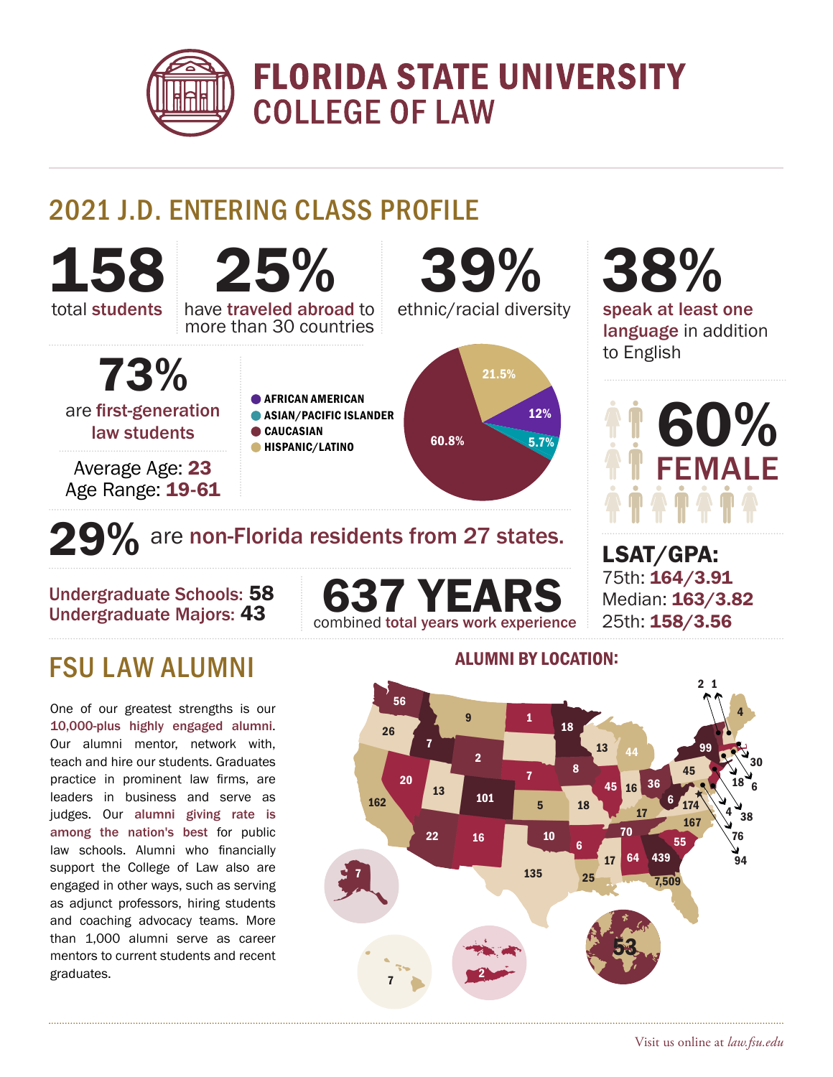

**FLORIDA STATE UNIVERSITY COLLEGE OF LAW** 

## 2021 J.D. ENTERING CLASS PROFILE

# 158 total students

25% have traveled abroad to more than 30 countries

73% are first-generation law students

Average Age: 23 Age Range: 19-61

- 
- CAUCASIAN ASIAN/PACIFIC ISLANDER
- 
- **HISPANIC/LATINO**

29% are non-Florida residents from 27 states.



39%

#### 38% speak at least one language in addition to English



LSAT/GPA: 75th: 164/3.91 Median: 163/3.82 25th: 158/3.56

## FSU LAW ALUMNI

Undergraduate Schools: 58<br>Undergraduate Majors: 43

One of our greatest strengths is our 10,000-plus highly engaged alumni. Our alumni mentor, network with, teach and hire our students. Graduates practice in prominent law firms, are leaders in business and serve as judges. Our alumni giving rate is among the nation's best for public law schools. Alumni who financially support the College of Law also are engaged in other ways, such as serving as adjunct professors, hiring students and coaching advocacy teams. More than 1,000 alumni serve as career mentors to current students and recent graduates.

637 YEA combined total years work experience



ALUMNI BY LOCATION: